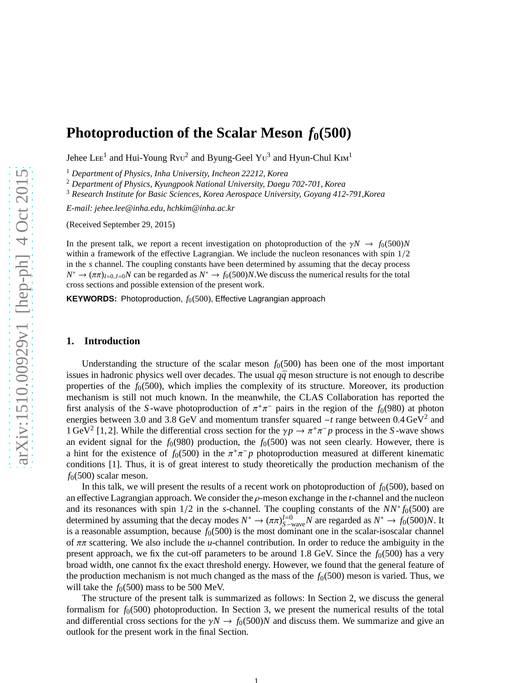# **Photoproduction of the Scalar Meson**  $f_0(500)$

Jehee LEE<sup>1</sup> and Hui-Young Ryu<sup>2</sup> and Byung-Geel Yu<sup>3</sup> and Hyun-Chul KIM<sup>1</sup>

<sup>1</sup> *Department of Physics, Inha University, Incheon 22212, Korea*

<sup>2</sup> *Department of Physics, Kyungpook National University, Daegu 702-701, Korea*

<sup>3</sup> *Research Institute for Basic Sciences, Korea Aerospace University, Goyang 412-791,Korea*

*E-mail: jehee.lee@inha.edu, hchkim@inha.ac.kr*

(Received September 29, 2015)

In the present talk, we report a recent investigation on photoproduction of the  $\gamma N \to f_0(500)N$ within a framework of the effective Lagrangian. We include the nucleon resonances with spin 1/2 in the *s* channel. The coupling constants have been determined by assuming that the decay process  $N^* \to (\pi \pi)_{I=0, J=0}$ *N* can be regarded as  $N^* \to f_0(500)N$ . We discuss the numerical results for the total cross sections and possible extension of the present work.

**KEYWORDS:** Photoproduction,  $f_0(500)$ , Effective Lagrangian approach

## **1. Introduction**

Understanding the structure of the scalar meson  $f<sub>0</sub>(500)$  has been one of the most important issues in hadronic physics well over decades. The usual  $q\bar{q}$  meson structure is not enough to describe properties of the  $f<sub>0</sub>(500)$ , which implies the complexity of its structure. Moreover, its production mechanism is still not much known. In the meanwhile, the CLAS Collaboration has reported the first analysis of the *S*-wave photoproduction of  $\pi^{+}\pi^{-}$  pairs in the region of the  $f_0(980)$  at photon energies between 3.0 and 3.8 GeV and momentum transfer squared  $-t$  range between 0.4 GeV<sup>2</sup> and  $1 \text{ GeV}^2$  [1, 2]. While the differential cross section for the  $\gamma p \to \pi^+ \pi^- p$  process in the *S*-wave shows an evident signal for the  $f_0(980)$  production, the  $f_0(500)$  was not seen clearly. However, there is a hint for the existence of  $f_0(500)$  in the  $\pi^+\pi^-p$  photoproduction measured at different kinematic conditions [1]. Thus, it is of great interest to study theoretically the production mechanism of the  $f<sub>0</sub>(500)$  scalar meson.

In this talk, we will present the results of a recent work on photoproduction of  $f_0(500)$ , based on an effective Lagrangian approach. We consider the ρ-meson exchange in the *t*-channel and the nucleon and its resonances with spin  $1/2$  in the *s*-channel. The coupling constants of the  $NN$ <sup>\*</sup> $f_0(500)$  are determined by assuming that the decay modes  $N^* \to (\pi \pi)_{S-\text{wave}}^{I=0} N$  are regarded as  $N^* \to f_0(500)N$ . It is a reasonable assumption, because  $f_0(500)$  is the most dominant one in the scalar-isoscalar channel of ππ scattering. We also include the *u*-channel contribution. In order to reduce the ambiguity in the present approach, we fix the cut-off parameters to be around 1.8 GeV. Since the  $f<sub>0</sub>(500)$  has a very broad width, one cannot fix the exact threshold energy. However, we found that the general feature of the production mechanism is not much changed as the mass of the  $f<sub>0</sub>(500)$  meson is varied. Thus, we will take the  $f_0(500)$  mass to be 500 MeV.

The structure of the present talk is summarized as follows: In Section 2, we discuss the general formalism for  $f<sub>0</sub>(500)$  photoproduction. In Section 3, we present the numerical results of the total and differential cross sections for the  $\gamma N \to f_0(500)N$  and discuss them. We summarize and give an outlook for the present work in the final Section.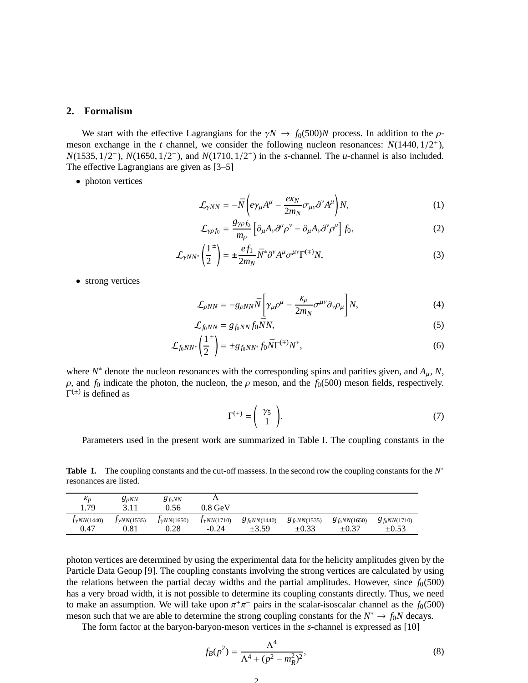## **2. Formalism**

We start with the effective Lagrangians for the  $\gamma N \to f_0(500)N$  process. In addition to the  $\rho$ meson exchange in the *t* channel, we consider the following nucleon resonances:  $N(1440, 1/2^+)$ , *N*(1535, 1/2<sup>-</sup>), *N*(1650, 1/2<sup>-</sup>), and *N*(1710, 1/2<sup>+</sup>) in the *s*-channel. The *u*-channel is also included. The effective Lagrangians are given as [3–5]

• photon vertices

$$
\mathcal{L}_{\gamma NN} = -\bar{N} \left( e \gamma_{\mu} A^{\mu} - \frac{e \kappa_N}{2m_N} \sigma_{\mu \nu} \partial^{\nu} A^{\mu} \right) N, \tag{1}
$$

$$
\mathcal{L}_{\gamma\rho f_0} = \frac{g_{\gamma\rho f_0}}{m_\rho} \left[ \partial_\mu A_\nu \partial^\mu \rho^\nu - \partial_\mu A_\nu \partial^\nu \rho^\mu \right] f_0,\tag{2}
$$

$$
\mathcal{L}_{\gamma NN^*} \left( \frac{1}{2}^{\pm} \right) = \pm \frac{ef_1}{2m_N} \bar{N}^* \partial^{\gamma} A^{\mu} \sigma^{\mu \nu} \Gamma^{(\mp)} N, \tag{3}
$$

• strong vertices

$$
\mathcal{L}_{\rho NN} = -g_{\rho NN} \bar{N} \left[ \gamma_{\mu} \rho^{\mu} - \frac{\kappa_{\rho}}{2m_N} \sigma^{\mu \nu} \partial_{\nu} \rho_{\mu} \right] N, \tag{4}
$$

$$
\mathcal{L}_{f_0NN} = g_{f_0NN} f_0 \bar{N} N, \tag{5}
$$

$$
\mathcal{L}_{f_0NN^*} \left( \frac{1}{2}^{\pm} \right) = \pm g_{f_0NN^*} f_0 \bar{N} \Gamma^{(\mp)} N^*, \tag{6}
$$

where  $N^*$  denote the nucleon resonances with the corresponding spins and parities given, and  $A_\mu$ ,  $N$ ,  $\rho$ , and  $f_0$  indicate the photon, the nucleon, the  $\rho$  meson, and the  $f_0(500)$  meson fields, respectively.  $\Gamma^{(\pm)}$  is defined as

$$
\Gamma^{(\pm)} = \begin{pmatrix} \gamma_5 \\ 1 \end{pmatrix} . \tag{7}
$$

Parameters used in the present work are summarized in Table I. The coupling constants in the

Table Ⅰ. The coupling constants and the cut-off massess. In the second row the coupling constants for the *N*<sup>∗</sup> resonances are listed.

| $\kappa_p$<br>1.79    | $g_{\rho NN}$<br>211    | $g_{f_0NN}$<br>0.56   | $0.8~\mathrm{GeV}$    |                    |                   |                    |                   |
|-----------------------|-------------------------|-----------------------|-----------------------|--------------------|-------------------|--------------------|-------------------|
| $J_{\gamma NN(1440)}$ | J <sub>Y</sub> NN(1535) | $J_{\gamma NN(1650)}$ | $J_{\gamma NN(1710)}$ | $g_{f_0N N(1440)}$ | $g_{f_0NN(1535)}$ | $g_{f_0N N(1650)}$ | $g_{f_0NN(1710)}$ |
| 0.47                  | 0.81                    | 0.28                  | $-0.24$               | $\pm 3.59$         | $\pm 0.33$        | $\pm 0.37$         | $\pm 0.53$        |

photon vertices are determined by using the experimental data for the helicity amplitudes given by the Particle Data Geoup [9]. The coupling constants involving the strong vertices are calculated by using the relations between the partial decay widths and the partial amplitudes. However, since  $f<sub>0</sub>(500)$ has a very broad width, it is not possible to determine its coupling constants directly. Thus, we need to make an assumption. We will take upon  $\pi^+\pi^-$  pairs in the scalar-isoscalar channel as the  $f_0(500)$ meson such that we are able to determine the strong coupling constants for the  $N^* \to f_0N$  decays.

The form factor at the baryon-baryon-meson vertices in the *s*-channel is expressed as [10]

$$
f_B(p^2) = \frac{\Lambda^4}{\Lambda^4 + (p^2 - m_R^2)^2},\tag{8}
$$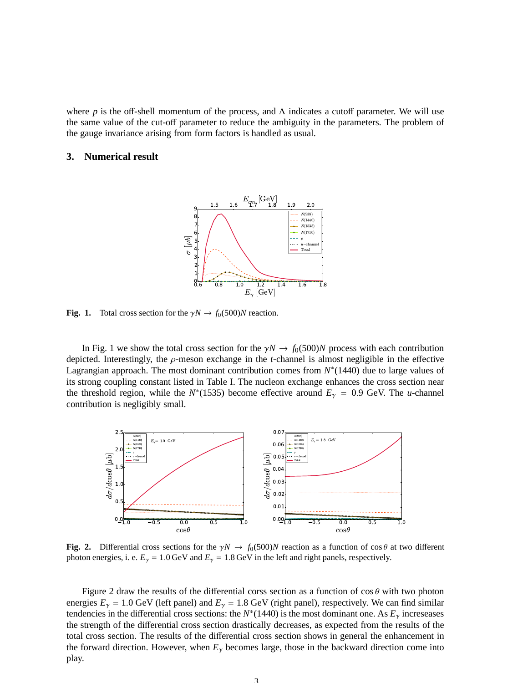where *p* is the off-shell momentum of the process, and  $\Lambda$  indicates a cutoff parameter. We will use the same value of the cut-off parameter to reduce the ambiguity in the parameters. The problem of the gauge invariance arising from form factors is handled as usual.

# **3. Numerical result**



**Fig. 1.** Total cross section for the  $\gamma N \rightarrow f_0(500)N$  reaction.

In Fig. 1 we show the total cross section for the  $\gamma N \to f_0(500)N$  process with each contribution depicted. Interestingly, the  $\rho$ -meson exchange in the *t*-channel is almost negligible in the effective Lagrangian approach. The most dominant contribution comes from  $N^*(1440)$  due to large values of its strong coupling constant listed in Table I. The nucleon exchange enhances the cross section near the threshold region, while the *N*<sup>\*</sup>(1535) become effective around  $E<sub>\gamma</sub> = 0.9$  GeV. The *u*-channel contribution is negligibly small.



**Fig. 2.** Differential cross sections for the  $\gamma N \to f_0(500)N$  reaction as a function of cos  $\theta$  at two different photon energies, i. e.  $E_{\gamma} = 1.0 \,\text{GeV}$  and  $E_{\gamma} = 1.8 \,\text{GeV}$  in the left and right panels, respectively.

Figure 2 draw the results of the differential corss section as a function of  $\cos \theta$  with two photon energies  $E_{\gamma} = 1.0$  GeV (left panel) and  $E_{\gamma} = 1.8$  GeV (right panel), respectively. We can find similar tendencies in the differential cross sections: the *N*<sup>\*</sup>(1440) is the most dominant one. As  $E<sub>\gamma</sub>$  increseases the strength of the differential cross section drastically decreases, as expected from the results of the total cross section. The results of the differential cross section shows in general the enhancement in the forward direction. However, when  $E<sub>\gamma</sub>$  becomes large, those in the backward direction come into play.